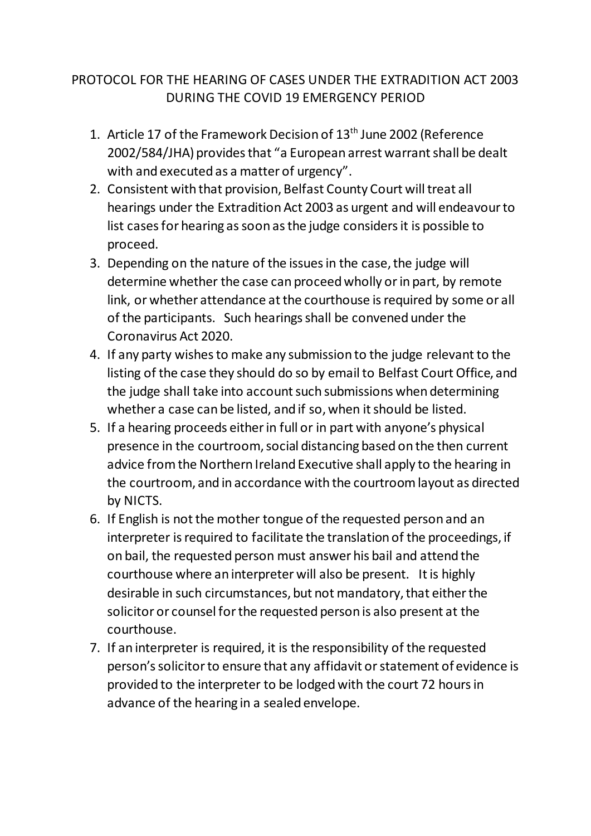## PROTOCOL FOR THE HEARING OF CASES UNDER THE EXTRADITION ACT 2003 DURING THE COVID 19 EMERGENCY PERIOD

- 1. Article 17 of the Framework Decision of 13<sup>th</sup> June 2002 (Reference 2002/584/JHA) provides that "a European arrest warrant shall be dealt with and executed as a matter of urgency".
- 2. Consistent with that provision, Belfast County Court will treat all hearings under the Extradition Act 2003 as urgent and will endeavour to list cases for hearing as soon as the judge considers it is possible to proceed.
- 3. Depending on the nature of the issues in the case, the judge will determine whether the case can proceed wholly or in part, by remote link, or whether attendance at the courthouse is required by some or all of the participants. Such hearings shall be convened under the Coronavirus Act 2020.
- 4. If any party wishes to make any submission to the judge relevant to the listing of the case they should do so by email to Belfast Court Office, and the judge shall take into account such submissions when determining whether a case can be listed, and if so, when it should be listed.
- 5. If a hearing proceeds either in full or in part with anyone's physical presence in the courtroom, social distancing based on the then current advice from the Northern Ireland Executive shall apply to the hearing in the courtroom, and in accordance with the courtroom layout as directed by NICTS.
- 6. If English is not the mother tongue of the requested person and an interpreter is required to facilitate the translation of the proceedings, if on bail, the requested person must answer his bail and attend the courthouse where an interpreter will also be present. It is highly desirable in such circumstances, but not mandatory,that either the solicitor or counsel for the requested person is also present at the courthouse.
- 7. If an interpreter is required, it is the responsibility of the requested person's solicitor to ensure that any affidavit or statement of evidence is provided to the interpreter to be lodged with the court 72 hours in advance of the hearing in a sealed envelope.